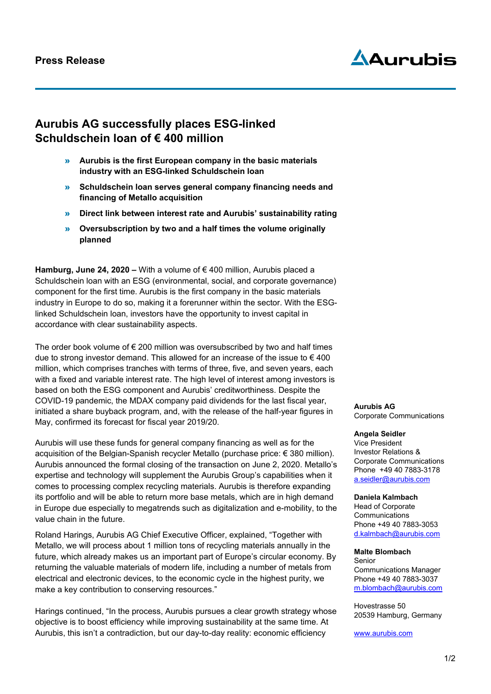# AAurubis

# **Aurubis AG successfully places ESG-linked Schuldschein loan of € 400 million**

- » **Aurubis is the first European company in the basic materials industry with an ESG-linked Schuldschein loan**
- » **Schuldschein loan serves general company financing needs and financing of Metallo acquisition**
- » **Direct link between interest rate and Aurubis' sustainability rating**
- » **Oversubscription by two and a half times the volume originally planned**

**Hamburg, June 24, 2020 –** With a volume of € 400 million, Aurubis placed a Schuldschein loan with an ESG (environmental, social, and corporate governance) component for the first time. Aurubis is the first company in the basic materials industry in Europe to do so, making it a forerunner within the sector. With the ESGlinked Schuldschein loan, investors have the opportunity to invest capital in accordance with clear sustainability aspects.

The order book volume of  $\epsilon$  200 million was oversubscribed by two and half times due to strong investor demand. This allowed for an increase of the issue to  $\in 400$ million, which comprises tranches with terms of three, five, and seven years, each with a fixed and variable interest rate. The high level of interest among investors is based on both the ESG component and Aurubis' creditworthiness. Despite the COVID-19 pandemic, the MDAX company paid dividends for the last fiscal year, initiated a share buyback program, and, with the release of the half-year figures in May, confirmed its forecast for fiscal year 2019/20.

Aurubis will use these funds for general company financing as well as for the acquisition of the Belgian-Spanish recycler Metallo (purchase price: € 380 million). Aurubis announced the formal closing of the transaction on June 2, 2020. Metallo's expertise and technology will supplement the Aurubis Group's capabilities when it comes to processing complex recycling materials. Aurubis is therefore expanding its portfolio and will be able to return more base metals, which are in high demand in Europe due especially to megatrends such as digitalization and e-mobility, to the value chain in the future.

Roland Harings, Aurubis AG Chief Executive Officer, explained, "Together with Metallo, we will process about 1 million tons of recycling materials annually in the future, which already makes us an important part of Europe's circular economy. By returning the valuable materials of modern life, including a number of metals from electrical and electronic devices, to the economic cycle in the highest purity, we make a key contribution to conserving resources."

Harings continued, "In the process, Aurubis pursues a clear growth strategy whose objective is to boost efficiency while improving sustainability at the same time. At Aurubis, this isn't a contradiction, but our day-to-day reality: economic efficiency

**Aurubis AG** Corporate Communications

## **Angela Seidler**

Vice President Investor Relations & Corporate Communications Phone +49 40 7883-3178 [a.seidler@aurubis.com](mailto:a.seidler@aurubis.com)

#### **Daniela Kalmbach**

Head of Corporate **Communications** Phone +49 40 7883-3053 d.kalmbach@aurubis.com

## **Malte Blombach**

Senior Communications Manager Phone +49 40 7883-3037 [m.blombach@aurubis.com](mailto:m.blombach@aurubis.com)

Hovestrasse 50 20539 Hamburg, Germany

[www.aurubis.com](http://www.aurubis.com/)